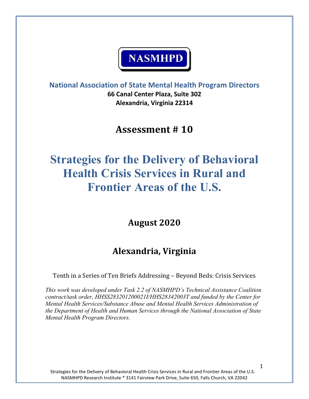# **NASMHPD**

**National Association of State Mental Health Program Directors 66 Canal Center Plaza, Suite 302 Alexandria, Virginia 22314**

## **Assessment # 10**

# **Strategies for the Delivery of Behavioral Health Crisis Services in Rural and Frontier Areas of the U.S.**

**August 2020**

## **Alexandria, Virginia**

Tenth in a Series of Ten Briefs Addressing – Beyond Beds: Crisis Services

*This work was developed under Task 2.2 of NASMHPD's Technical Assistance Coalition contract/task order, HHSS283201200021I/HHS28342003T and funded by the Center for Mental Health Services/Substance Abuse and Mental Health Services Administration of the Department of Health and Human Services through the National Association of State Mental Health Program Directors.*

Strategies for the Delivery of Behavioral Health Crisis Services in Rural and Frontier Areas of the U.S. NASMHPD Research Institute \* 3141 Fairview Park Drive, Suite 650, Falls Church, VA 22042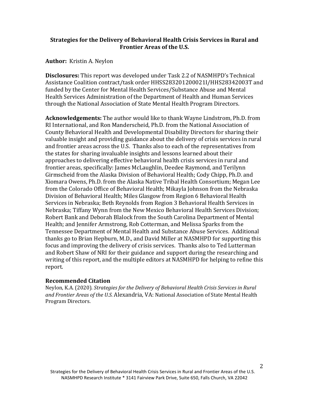#### **Strategies for the Delivery of Behavioral Health Crisis Services in Rural and Frontier Areas of the U.S.**

#### **Author:** Kristin A. Neylon

**Disclosures:** This report was developed under Task 2.2 of NASMHPD's Technical Assistance Coalition contract/task order HHSS283201200021I/HHS28342003T and funded by the Center for Mental Health Services/Substance Abuse and Mental Health Services Administration of the Department of Health and Human Services through the National Association of State Mental Health Program Directors.

**Acknowledgements:** The author would like to thank Wayne Lindstrom, Ph.D. from RI International, and Ron Manderscheid, Ph.D. from the National Association of County Behavioral Health and Developmental Disability Directors for sharing their valuable insight and providing guidance about the delivery of crisis services in rural and frontier areas across the U.S. Thanks also to each of the representatives from the states for sharing invaluable insights and lessons learned about their approaches to delivering effective behavioral health crisis services in rural and frontier areas, specifically: James McLaughlin, Deedee Raymond, and Terilynn Girmscheid from the Alaska Division of Behavioral Health; Cody Chipp, Ph.D. and Xiomara Owens, Ph.D. from the Alaska Native Tribal Health Consortium; Megan Lee from the Colorado Office of Behavioral Health; Mikayla Johnson from the Nebraska Division of Behavioral Health; Miles Glasgow from Region 6 Behavioral Health Services in Nebraska; Beth Reynolds from Region 3 Behavioral Health Services in Nebraska; Tiffany Wynn from the New Mexico Behavioral Health Services Division; Robert Bank and Deborah Blalock from the South Carolina Department of Mental Health; and Jennifer Armstrong, Rob Cotterman, and Melissa Sparks from the Tennessee Department of Mental Health and Substance Abuse Services. Additional thanks go to Brian Hepburn, M.D., and David Miller at NASMHPD for supporting this focus and improving the delivery of crisis services. Thanks also to Ted Lutterman and Robert Shaw of NRI for their guidance and support during the researching and writing of this report, and the multiple editors at NASMHPD for helping to refine this report.

#### **Recommended Citation**

Neylon, K.A. (2020). *Strategies for the Delivery of Behavioral Health Crisis Services in Rural and Frontier Areas of the U.S.* Alexandria, VA: National Association of State Mental Health Program Directors.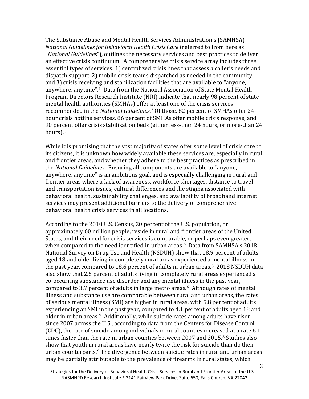The Substance Abuse and Mental Health Services Administration's (SAMHSA) *National Guidelines for Behavioral Health Crisis Care* (referred to from here as "*National Guidelines*")*,* outlines the necessary services and best practices to deliver an effective crisis continuum. A comprehensive crisis service array includes three essential types of services: 1) centralized crisis lines that assess a caller's needs and dispatch support, 2) mobile crisis teams dispatched as needed in the community, and 3) crisis receiving and stabilization facilities that are available to "anyone, anywhere, anytime".[1](#page-17-0) Data from the National Association of State Mental Health Program Directors Research Institute (NRI) indicate that nearly 98 percent of state mental health authorities (SMHAs) offer at least one of the crisis services recommended in the *National Guidelines*. [2](#page-17-1) Of those, 82 percent of SMHAs offer 24 hour crisis hotline services, 86 percent of SMHAs offer mobile crisis response, and 90 percent offer crisis stabilization beds (either less-than 24 hours, or more-than 24 hours).[3](#page-17-2)

While it is promising that the vast majority of states offer some level of crisis care to its citizens, it is unknown how widely available these services are, especially in rural and frontier areas, and whether they adhere to the best practices as prescribed in the *National Guidelines.* Ensuring all components are available to "anyone, anywhere, anytime" is an ambitious goal, and is especially challenging in rural and frontier areas where a lack of awareness, workforce shortages, distance to travel and transportation issues, cultural differences and the stigma associated with behavioral health, sustainability challenges, and availability of broadband internet services may present additional barriers to the delivery of comprehensive behavioral health crisis services in all locations.

According to the 2010 U.S. Census, 20 percent of the U.S. population, or approximately 60 million people, reside in rural and frontier areas of the United States, and their need for crisis services is comparable, or perhaps even greater, when compared to the need identified in urban areas.<sup>[4](#page-17-3)</sup> Data from SAMHSA's 2018 National Survey on Drug Use and Health (NSDUH) show that 18.9 percent of adults aged 18 and older living in completely rural areas experienced a mental illness in the past year, compared to 18.6 percent of adults in urban areas.[5](#page-17-4) 2018 NSDUH data also show that 2.5 percent of adults living in completely rural areas experienced a co-occurring substance use disorder and any mental illness in the past year, compared to 3.7 percent of adults in large metro areas.[6](#page-17-5) Although rates of mental illness and substance use are comparable between rural and urban areas, the rates of serious mental illness (SMI) are higher in rural areas, with 5.8 percent of adults experiencing an SMI in the past year, compared to 4.1 percent of adults aged 18 and older in urban areas.[7](#page-17-6) Additionally, while suicide rates among adults have risen since 2007 across the U.S., according to data from the Centers for Disease Control (CDC), the rate of suicide among individuals in rural counties increased at a rate 6.1 times faster than the rate in urban counties between 2007 and 2015.<sup>[8](#page-17-7)</sup> Studies also show that youth in rural areas have nearly twice the risk for suicide than do their urban counterparts. [9](#page-17-8) The divergence between suicide rates in rural and urban areas may be partially attributable to the prevalence of firearms in rural states, which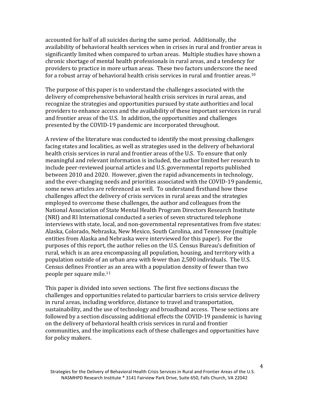accounted for half of all suicides during the same period. Additionally, the availability of behavioral health services when in crises in rural and frontier areas is significantly limited when compared to urban areas. Multiple studies have shown a chronic shortage of mental health professionals in rural areas, and a tendency for providers to practice in more urban areas. These two factors underscore the need for a robust array of behavioral health crisis services in rural and frontier areas.<sup>[10](#page-17-9)</sup>

The purpose of this paper is to understand the challenges associated with the delivery of comprehensive behavioral health crisis services in rural areas, and recognize the strategies and opportunities pursued by state authorities and local providers to enhance access and the availability of these important services in rural and frontier areas of the U.S. In addition, the opportunities and challenges presented by the COVID-19 pandemic are incorporated throughout.

A review of the literature was conducted to identify the most pressing challenges facing states and localities, as well as strategies used in the delivery of behavioral health crisis services in rural and frontier areas of the U.S. To ensure that only meaningful and relevant information is included, the author limited her research to include peer-reviewed journal articles and U.S. governmental reports published between 2010 and 2020. However, given the rapid advancements in technology, and the ever-changing needs and priorities associated with the COVID-19 pandemic, some news articles are referenced as well. To understand firsthand how these challenges affect the delivery of crisis services in rural areas and the strategies employed to overcome these challenges, the author and colleagues from the National Association of State Mental Health Program Directors Research Institute (NRI) and RI International conducted a series of seven structured telephone interviews with state, local, and non-governmental representatives from five states: Alaska, Colorado, Nebraska, New Mexico, South Carolina, and Tennessee (multiple entities from Alaska and Nebraska were interviewed for this paper). For the purposes of this report, the author relies on the U.S. Census Bureau's definition of rural, which is an area encompassing all population, housing, and territory with a population outside of an urban area with fewer than 2,500 individuals. The U.S. Census defines Frontier as an area with a population density of fewer than two people per square mile[.11](#page-17-10)

This paper is divided into seven sections. The first five sections discuss the challenges and opportunities related to particular barriers to crisis service delivery in rural areas, including workforce, distance to travel and transportation, sustainability, and the use of technology and broadband access. These sections are followed by a section discussing additional effects the COVID-19 pandemic is having on the delivery of behavioral health crisis services in rural and frontier communities, and the implications each of these challenges and opportunities have for policy makers.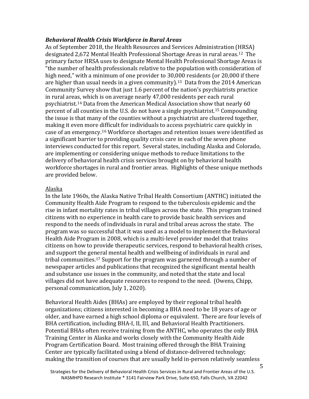#### *Behavioral Health Crisis Workforce in Rural Areas*

As of September 2018, the Health Resources and Services Administration (HRSA) designated 2,672 Mental Health Professional Shortage Areas in rural areas.[12](#page-17-11) The primary factor HRSA uses to designate Mental Health Professional Shortage Areas is "the number of health professionals relative to the population with consideration of high need," with a minimum of one provider to 30,000 residents (or 20,000 if there are higher than usual needs in a given community).<sup>13</sup> Data from the 2014 American Community Survey show that just 1.6 percent of the nation's psychiatrists practice in rural areas, which is on average nearly 47,000 residents per each rural psychiatrist[.14](#page-17-13) Data from the American Medical Association show that nearly 60 percent of all counties in the U.S. do not have a single psychiatrist.[15](#page-17-14) Compounding the issue is that many of the counties without a psychiatrist are clustered together, making it even more difficult for individuals to access psychiatric care quickly in case of an emergency.[16](#page-18-0) Workforce shortages and retention issues were identified as a significant barrier to providing quality crisis care in each of the seven phone interviews conducted for this report. Several states, including Alaska and Colorado, are implementing or considering unique methods to reduce limitations to the delivery of behavioral health crisis services brought on by behavioral health workforce shortages in rural and frontier areas. Highlights of these unique methods are provided below.

#### Alaska

In the late 1960s, the Alaska Native Tribal Health Consortium (ANTHC) initiated the Community Health Aide Program to respond to the tuberculosis epidemic and the rise in infant mortality rates in tribal villages across the state. This program trained citizens with no experience in health care to provide basic health services and respond to the needs of individuals in rural and tribal areas across the state. The program was so successful that it was used as a model to implement the Behavioral Health Aide Program in 2008, which is a multi-level provider model that trains citizens on how to provide therapeutic services, respond to behavioral health crises, and support the general mental health and wellbeing of individuals in rural and tribal communities.[17](#page-18-1) Support for the program was garnered through a number of newspaper articles and publications that recognized the significant mental health and substance use issues in the community, and noted that the state and local villages did not have adequate resources to respond to the need. (Owens, Chipp, personal communication, July 1, 2020).

Behavioral Health Aides (BHAs) are employed by their regional tribal health organizations; citizens interested in becoming a BHA need to be 18 years of age or older, and have earned a high school diploma or equivalent. There are four levels of BHA certification, including BHA-I, II, III, and Behavioral Health Practitioners. Potential BHAs often receive training from the ANTHC, who operates the only BHA Training Center in Alaska and works closely with the Community Health Aide Program Certification Board. Most training offered through the BHA Training Center are typically facilitated using a blend of distance-delivered technology; making the transition of courses that are usually held in-person relatively seamless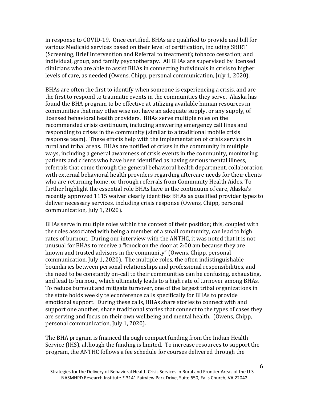in response to COVID-19. Once certified, BHAs are qualified to provide and bill for various Medicaid services based on their level of certification, including SBIRT (Screening, Brief Intervention and Referral to treatment); tobacco cessation; and individual, group, and family psychotherapy. All BHAs are supervised by licensed clinicians who are able to assist BHAs in connecting individuals in crisis to higher levels of care, as needed (Owens, Chipp, personal communication, July 1, 2020).

BHAs are often the first to identify when someone is experiencing a crisis, and are the first to respond to traumatic events in the communities they serve. Alaska has found the BHA program to be effective at utilizing available human resources in communities that may otherwise not have an adequate supply, or any supply, of licensed behavioral health providers. BHAs serve multiple roles on the recommended crisis continuum, including answering emergency call lines and responding to crises in the community (similar to a traditional mobile crisis response team). These efforts help with the implementation of crisis services in rural and tribal areas. BHAs are notified of crises in the community in multiple ways, including a general awareness of crisis events in the community, monitoring patients and clients who have been identified as having serious mental illness, referrals that come through the general behavioral health department, collaboration with external behavioral health providers regarding aftercare needs for their clients who are returning home, or through referrals from Community Health Aides. To further highlight the essential role BHAs have in the continuum of care, Alaska's recently approved 1115 waiver clearly identifies BHAs as qualified provider types to deliver necessary services, including crisis response (Owens, Chipp, personal communication, July 1, 2020).

BHAs serve in multiple roles within the context of their position; this, coupled with the roles associated with being a member of a small community, can lead to high rates of burnout. During our interview with the ANTHC, it was noted that it is not unusual for BHAs to receive a "knock on the door at 2:00 am because they are known and trusted advisors in the community" (Owens, Chipp, personal communication, July 1, 2020). The multiple roles, the often indistinguishable boundaries between personal relationships and professional responsibilities, and the need to be constantly on-call to their communities can be confusing, exhausting, and lead to burnout, which ultimately leads to a high rate of turnover among BHAs. To reduce burnout and mitigate turnover, one of the largest tribal organizations in the state holds weekly teleconference calls specifically for BHAs to provide emotional support. During these calls, BHAs share stories to connect with and support one another, share traditional stories that connect to the types of cases they are serving and focus on their own wellbeing and mental health. (Owens, Chipp, personal communication, July 1, 2020).

The BHA program is financed through compact funding from the Indian Health Service (IHS), although the funding is limited. To increase resources to support the program, the ANTHC follows a fee schedule for courses delivered through the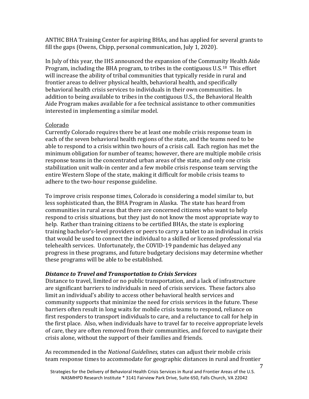ANTHC BHA Training Center for aspiring BHAs, and has applied for several grants to fill the gaps (Owens, Chipp, personal communication, July 1, 2020).

In July of this year, the IHS announced the expansion of the Community Health Aide Program, including the BHA program, to tribes in the contiguous U.S.[18](#page-18-2) This effort will increase the ability of tribal communities that typically reside in rural and frontier areas to deliver physical health, behavioral health, and specifically behavioral health crisis services to individuals in their own communities. In addition to being available to tribes in the contiguous U.S., the Behavioral Health Aide Program makes available for a fee technical assistance to other communities interested in implementing a similar model.

#### Colorado

Currently Colorado requires there be at least one mobile crisis response team in each of the seven behavioral health regions of the state, and the teams need to be able to respond to a crisis within two hours of a crisis call. Each region has met the minimum obligation for number of teams; however, there are multiple mobile crisis response teams in the concentrated urban areas of the state, and only one crisis stabilization unit walk-in center and a few mobile crisis response team serving the entire Western Slope of the state, making it difficult for mobile crisis teams to adhere to the two-hour response guideline.

To improve crisis response times, Colorado is considering a model similar to, but less sophisticated than, the BHA Program in Alaska. The state has heard from communities in rural areas that there are concerned citizens who want to help respond to crisis situations, but they just do not know the most appropriate way to help. Rather than training citizens to be certified BHAs, the state is exploring training bachelor's-level providers or peers to carry a tablet to an individual in crisis that would be used to connect the individual to a skilled or licensed professional via telehealth services. Unfortunately, the COVID-19 pandemic has delayed any progress in these programs, and future budgetary decisions may determine whether these programs will be able to be established.

#### *Distance to Travel and Transportation to Crisis Services*

Distance to travel, limited or no public transportation, and a lack of infrastructure are significant barriers to individuals in need of crisis services. These factors also limit an individual's ability to access other behavioral health services and community supports that minimize the need for crisis services in the future. These barriers often result in long waits for mobile crisis teams to respond, reliance on first responders to transport individuals to care, and a reluctance to call for help in the first place. Also, when individuals have to travel far to receive appropriate levels of care, they are often removed from their communities, and forced to navigate their crisis alone, without the support of their families and friends.

As recommended in the *National Guidelines,* states can adjust their mobile crisis team response times to accommodate for geographic distances in rural and frontier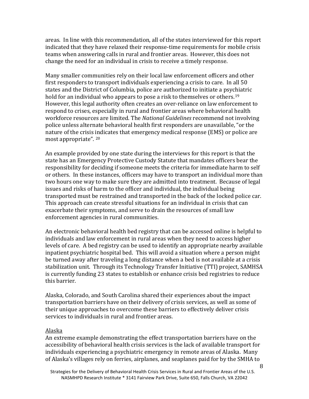areas. In line with this recommendation, all of the states interviewed for this report indicated that they have relaxed their response-time requirements for mobile crisis teams when answering calls in rural and frontier areas. However, this does not change the need for an individual in crisis to receive a timely response.

Many smaller communities rely on their local law enforcement officers and other first responders to transport individuals experiencing a crisis to care. In all 50 states and the District of Columbia, police are authorized to initiate a psychiatric hold for an individual who appears to pose a risk to themselves or others.<sup>19</sup> However, this legal authority often creates an over-reliance on law enforcement to respond to crises, especially in rural and frontier areas where behavioral health workforce resources are limited. The *National Guidelines* recommend not involving police unless alternate behavioral health first responders are unavailable, "or the nature of the crisis indicates that emergency medical response (EMS) or police are most appropriate". [20](#page-18-4)

An example provided by one state during the interviews for this report is that the state has an Emergency Protective Custody Statute that mandates officers bear the responsibility for deciding if someone meets the criteria for immediate harm to self or others. In these instances, officers may have to transport an individual more than two hours one way to make sure they are admitted into treatment. Because of legal issues and risks of harm to the officer and individual, the individual being transported must be restrained and transported in the back of the locked police car. This approach can create stressful situations for an individual in crisis that can exacerbate their symptoms, and serve to drain the resources of small law enforcement agencies in rural communities.

An electronic behavioral health bed registry that can be accessed online is helpful to individuals and law enforcement in rural areas when they need to access higher levels of care. A bed registry can be used to identify an appropriate nearby available inpatient psychiatric hospital bed. This will avoid a situation where a person might be turned away after traveling a long distance when a bed is not available at a crisis stabilization unit. Through its Technology Transfer Initiative (TTI) project, SAMHSA is currently funding 23 states to establish or enhance crisis bed registries to reduce this barrier.

Alaska, Colorado, and South Carolina shared their experiences about the impact transportation barriers have on their delivery of crisis services, as well as some of their unique approaches to overcome these barriers to effectively deliver crisis services to individuals in rural and frontier areas.

#### Alaska

An extreme example demonstrating the effect transportation barriers have on the accessibility of behavioral health crisis services is the lack of available transport for individuals experiencing a psychiatric emergency in remote areas of Alaska. Many of Alaska's villages rely on ferries, airplanes, and seaplanes paid for by the SMHA to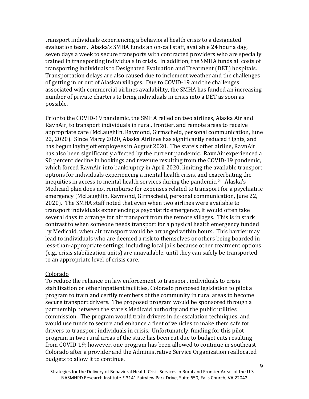transport individuals experiencing a behavioral health crisis to a designated evaluation team. Alaska's SMHA funds an on-call staff, available 24 hour a day, seven days a week to secure transports with contracted providers who are specially trained in transporting individuals in crisis. In addition, the SMHA funds all costs of transporting individuals to Designated Evaluation and Treatment (DET) hospitals. Transportation delays are also caused due to inclement weather and the challenges of getting in or out of Alaskan villages. Due to COVID-19 and the challenges associated with commercial airlines availability, the SMHA has funded an increasing number of private charters to bring individuals in crisis into a DET as soon as possible.

Prior to the COVID-19 pandemic, the SMHA relied on two airlines, Alaska Air and RavnAir, to transport individuals in rural, frontier, and remote areas to receive appropriate care (McLaughlin, Raymond, Girmscheid, personal communication, June 22, 2020). Since Marcy 2020, Alaska Airlines has significantly reduced flights, and has begun laying off employees in August 2020. The state's other airline, RavnAir has also been significantly affected by the current pandemic. RavnAir experienced a 90 percent decline in bookings and revenue resulting from the COVID-19 pandemic, which forced RavnAir into bankruptcy in April 2020, limiting the available transport options for individuals experiencing a mental health crisis, and exacerbating the inequities in access to mental health services during the pandemic.<sup>[21](#page-18-5)</sup> Alaska's Medicaid plan does not reimburse for expenses related to transport for a psychiatric emergency (McLaughlin, Raymond, Girmscheid, personal communication, June 22, 2020). The SMHA staff noted that even when two airlines were available to transport individuals experiencing a psychiatric emergency, it would often take several days to arrange for air transport from the remote villages. This is in stark contrast to when someone needs transport for a physical health emergency funded by Medicaid, when air transport would be arranged within hours. This barrier may lead to individuals who are deemed a risk to themselves or others being boarded in less-than-appropriate settings, including local jails because other treatment options (e.g., crisis stabilization units) are unavailable, until they can safely be transported to an appropriate level of crisis care.

#### Colorado

To reduce the reliance on law enforcement to transport individuals to crisis stabilization or other inpatient facilities, Colorado proposed legislation to pilot a program to train and certify members of the community in rural areas to become secure transport drivers. The proposed program would be sponsored through a partnership between the state's Medicaid authority and the public utilities commission. The program would train drivers in de-escalation techniques, and would use funds to secure and enhance a fleet of vehicles to make them safe for drivers to transport individuals in crisis. Unfortunately, funding for this pilot program in two rural areas of the state has been cut due to budget cuts resulting from COVID-19; however, one program has been allowed to continue in southeast Colorado after a provider and the Administrative Service Organization reallocated budgets to allow it to continue.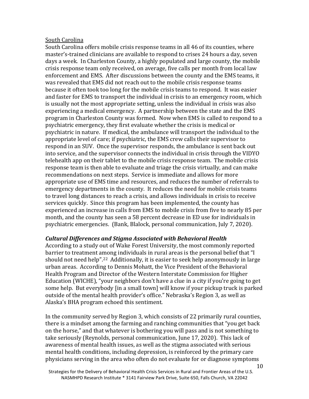#### South Carolina

South Carolina offers mobile crisis response teams in all 46 of its counties, where master's-trained clinicians are available to respond to crises 24 hours a day, seven days a week. In Charleston County, a highly populated and large county, the mobile crisis response team only received, on average, five calls per month from local law enforcement and EMS. After discussions between the county and the EMS teams, it was revealed that EMS did not reach out to the mobile crisis response teams because it often took too long for the mobile crisis teams to respond. It was easier and faster for EMS to transport the individual in crisis to an emergency room, which is usually not the most appropriate setting, unless the individual in crisis was also experiencing a medical emergency. A partnership between the state and the EMS program in Charleston County was formed. Now when EMS is called to respond to a psychiatric emergency, they first evaluate whether the crisis is medical or psychiatric in nature. If medical, the ambulance will transport the individual to the appropriate level of care; if psychiatric, the EMS crew calls their supervisor to respond in an SUV. Once the supervisor responds, the ambulance is sent back out into service, and the supervisor connects the individual in crisis through the VIDYO telehealth app on their tablet to the mobile crisis response team. The mobile crisis response team is then able to evaluate and triage the crisis virtually, and can make recommendations on next steps. Service is immediate and allows for more appropriate use of EMS time and resources, and reduces the number of referrals to emergency departments in the county. It reduces the need for mobile crisis teams to travel long distances to reach a crisis, and allows individuals in crisis to receive services quickly. Since this program has been implemented, the county has experienced an increase in calls from EMS to mobile crisis from five to nearly 85 per month, and the county has seen a 58 percent decrease in ED use for individuals in psychiatric emergencies. (Bank, Blalock, personal communication, July 7, 2020).

#### *Cultural Differences and Stigma Associated with Behavioral Health*

According to a study out of Wake Forest University, the most commonly reported barrier to treatment among individuals in rural areas is the personal belief that "I should not need help".[22](#page-18-6) Additionally, it is easier to seek help anonymously in large urban areas. According to Dennis Mohatt, the Vice President of the Behavioral Health Program and Director of the Western Interstate Commission for Higher Education (WICHE), "your neighbors don't have a clue in a city if you're going to get some help. But everybody [in a small town] will know if your pickup truck is parked outside of the mental health provider's office." Nebraska's Region 3, as well as Alaska's BHA program echoed this sentiment.

In the community served by Region 3, which consists of 22 primarily rural counties, there is a mindset among the farming and ranching communities that "you get back on the horse," and that whatever is bothering you will pass and is not something to take seriously (Reynolds, personal communication, June 17, 2020). This lack of awareness of mental health issues, as well as the stigma associated with serious mental health conditions, including depression, is reinforced by the primary care physicians serving in the area who often do not evaluate for or diagnose symptoms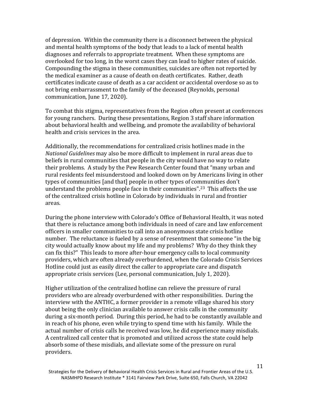of depression. Within the community there is a disconnect between the physical and mental health symptoms of the body that leads to a lack of mental health diagnoses and referrals to appropriate treatment. When these symptoms are overlooked for too long, in the worst cases they can lead to higher rates of suicide. Compounding the stigma in these communities, suicides are often not reported by the medical examiner as a cause of death on death certificates. Rather, death certificates indicate cause of death as a car accident or accidental overdose so as to not bring embarrassment to the family of the deceased (Reynolds, personal communication, June 17, 2020).

To combat this stigma, representatives from the Region often present at conferences for young ranchers. During these presentations, Region 3 staff share information about behavioral health and wellbeing, and promote the availability of behavioral health and crisis services in the area.

Additionally, the recommendations for centralized crisis hotlines made in the *National Guidelines* may also be more difficult to implement in rural areas due to beliefs in rural communities that people in the city would have no way to relate their problems. A study by the Pew Research Center found that "many urban and rural residents feel misunderstood and looked down on by Americans living in other types of communities [and that] people in other types of communities don't understand the problems people face in their communities".<sup>23</sup> This affects the use of the centralized crisis hotline in Colorado by individuals in rural and frontier areas.

During the phone interview with Colorado's Office of Behavioral Health, it was noted that there is reluctance among both individuals in need of care and law enforcement officers in smaller communities to call into an anonymous state crisis hotline number. The reluctance is fueled by a sense of resentment that someone "in the big city would actually know about my life and my problems? Why do they think they can fix this?" This leads to more after-hour emergency calls to local community providers, which are often already overburdened, when the Colorado Crisis Services Hotline could just as easily direct the caller to appropriate care and dispatch appropriate crisis services (Lee, personal communication, July 1, 2020).

Higher utilization of the centralized hotline can relieve the pressure of rural providers who are already overburdened with other responsibilities. During the interview with the ANTHC, a former provider in a remote village shared his story about being the only clinician available to answer crisis calls in the community during a six-month period. During this period, he had to be constantly available and in reach of his phone, even while trying to spend time with his family. While the actual number of crisis calls he received was low, he did experience many misdials. A centralized call center that is promoted and utilized across the state could help absorb some of these misdials, and alleviate some of the pressure on rural providers.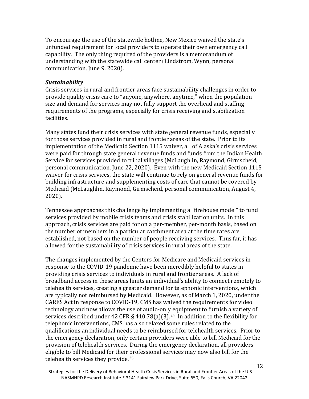To encourage the use of the statewide hotline, New Mexico waived the state's unfunded requirement for local providers to operate their own emergency call capability. The only thing required of the providers is a memorandum of understanding with the statewide call center (Lindstrom, Wynn, personal communication, June 9, 2020).

#### *Sustainability*

Crisis services in rural and frontier areas face sustainability challenges in order to provide quality crisis care to "anyone, anywhere, anytime," when the population size and demand for services may not fully support the overhead and staffing requirements of the programs, especially for crisis receiving and stabilization facilities.

Many states fund their crisis services with state general revenue funds, especially for those services provided in rural and frontier areas of the state. Prior to its implementation of the Medicaid Section 1115 waiver, all of Alaska's crisis services were paid for through state general revenue funds and funds from the Indian Health Service for services provided to tribal villages (McLaughlin, Raymond, Girmscheid, personal communication, June 22, 2020). Even with the new Medicaid Section 1115 waiver for crisis services, the state will continue to rely on general revenue funds for building infrastructure and supplementing costs of care that cannot be covered by Medicaid (McLaughlin, Raymond, Girmscheid, personal communication, August 4, 2020).

Tennessee approaches this challenge by implementing a "firehouse model" to fund services provided by mobile crisis teams and crisis stabilization units. In this approach, crisis services are paid for on a per-member, per-month basis, based on the number of members in a particular catchment area at the time rates are established, not based on the number of people receiving services. Thus far, it has allowed for the sustainability of crisis services in rural areas of the state.

The changes implemented by the Centers for Medicare and Medicaid services in response to the COVID-19 pandemic have been incredibly helpful to states in providing crisis services to individuals in rural and frontier areas. A lack of broadband access in these areas limits an individual's ability to connect remotely to telehealth services, creating a greater demand for telephonic interventions, which are typically not reimbursed by Medicaid. However, as of March 1, 2020, under the CARES Act in response to COVID-19, CMS has waived the requirements for video technology and now allows the use of audio-only equipment to furnish a variety of services described under 42 CFR § 410.78(a)(3).<sup>24</sup> In addition to the flexibility for telephonic interventions, CMS has also relaxed some rules related to the qualifications an individual needs to be reimbursed for telehealth services. Prior to the emergency declaration, only certain providers were able to bill Medicaid for the provision of telehealth services. During the emergency declaration, all providers eligible to bill Medicaid for their professional services may now also bill for the telehealth services they provide.[25](#page-18-9)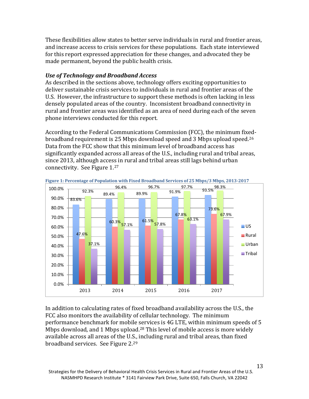These flexibilities allow states to better serve individuals in rural and frontier areas, and increase access to crisis services for these populations. Each state interviewed for this report expressed appreciation for these changes, and advocated they be made permanent, beyond the public health crisis.

#### *Use of Technology and Broadband Access*

As described in the sections above, technology offers exciting opportunities to deliver sustainable crisis services to individuals in rural and frontier areas of the U.S. However, the infrastructure to support these methods is often lacking in less densely populated areas of the country. Inconsistent broadband connectivity in rural and frontier areas was identified as an area of need during each of the seven phone interviews conducted for this report.

According to the Federal Communications Commission (FCC), the minimum fixedbroadband requirement is 25 Mbps download speed and 3 Mbps upload speed.[26](#page-18-10) Data from the FCC show that this minimum level of broadband access has significantly expanded across all areas of the U.S., including rural and tribal areas, since 2013, although access in rural and tribal areas still lags behind urban connectivity. See Figure 1.[27](#page-18-11)



In addition to calculating rates of fixed broadband availability across the U.S., the FCC also monitors the availability of cellular technology. The minimum performance benchmark for mobile services is 4G LTE, within minimum speeds of 5 Mbps download, and 1 Mbps upload.<sup>28</sup> This level of mobile access is more widely available across all areas of the U.S., including rural and tribal areas, than fixed broadband services. See Figure 2.[29](#page-19-0)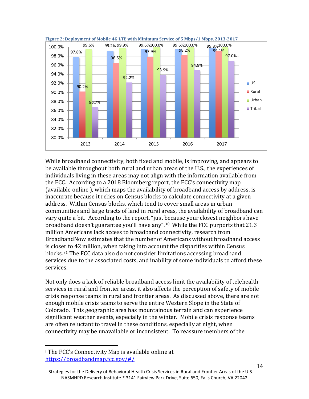



While broadband connectivity, both fixed and mobile, is improving, and appears to be available throughout both rural and urban areas of the U.S., the experiences of individuals living in these areas may not align with the information available from the FCC. According to a 2018 Bloomberg report, the FCC's connectivity map (available online[i](#page-13-0) ), which maps the availability of broadband access by address, is inaccurate because it relies on Census blocks to calculate connectivity at a given address. Within Census blocks, which tend to cover small areas in urban communities and large tracts of land in rural areas, the availability of broadband can vary quite a bit. According to the report, "just because your closest neighbors have broadband doesn't guarantee you'll have any".[30](#page-19-1) While the FCC purports that 21.3 million Americans lack access to broadband connectivity, research from BroadbandNow estimates that the number of Americans without broadband access is closer to 42 million, when taking into account the disparities within Census blocks.[31](#page-19-2) The FCC data also do not consider limitations accessing broadband services due to the associated costs, and inability of some individuals to afford these services.

Not only does a lack of reliable broadband access limit the availability of telehealth services in rural and frontier areas, it also affects the perception of safety of mobile crisis response teams in rural and frontier areas. As discussed above, there are not enough mobile crisis teams to serve the entire Western Slope in the State of Colorado. This geographic area has mountainous terrain and can experience significant weather events, especially in the winter. Mobile crisis response teams are often reluctant to travel in these conditions, especially at night, when connectivity may be unavailable or inconsistent. To reassure members of the

<span id="page-13-0"></span>i<br>I <sup>i</sup> The FCC's Connectivity Map is available online at <https://broadbandmap.fcc.gov/#/>

Strategies for the Delivery of Behavioral Health Crisis Services in Rural and Frontier Areas of the U.S. NASMHPD Research Institute \* 3141 Fairview Park Drive, Suite 650, Falls Church, VA 22042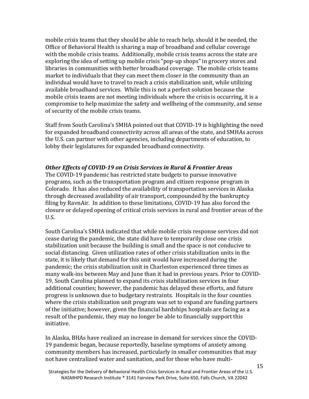mobile crisis teams that they should be able to reach help, should it be needed, the Office of Behavioral Health is sharing a map of broadband and cellular coverage with the mobile crisis teams. Additionally, mobile crisis teams across the state are exploring the idea of setting up mobile crisis "pop-up shops" in grocery stores and libraries in communities with better broadband coverage. The mobile crisis teams market to individuals that they can meet them closer in the community than an individual would have to travel to reach a crisis stabilization unit, while utilizing available broadband services. While this is not a perfect solution because the mobile crisis teams are not meeting individuals where the crisis is occurring, it is a compromise to help maximize the safety and wellbeing of the community, and sense of security of the mobile crisis teams.

Staff from South Carolina's SMHA pointed out that COVID-19 is highlighting the need for expanded broadband connectivity across all areas of the state, and SMHAs across the U.S. can partner with other agencies, including departments of education, to lobby their legislatures for expanded broadband connectivity.

#### *Other Effects of COVID-19 on Crisis Services in Rural & Frontier Areas*

The COVID-19 pandemic has restricted state budgets to pursue innovative programs, such as the transportation program and citizen response program in Colorado. It has also reduced the availability of transportation services in Alaska through decreased availability of air transport, compounded by the bankruptcy filing by RavnAir. In addition to these limitations, COVID-19 has also forced the closure or delayed opening of critical crisis services in rural and frontier areas of the U.S.

South Carolina's SMHA indicated that while mobile crisis response services did not cease during the pandemic, the state did have to temporarily close one crisis stabilization unit because the building is small and the space is not conducive to social distancing. Given utilization rates of other crisis stabilization units in the state, it is likely that demand for this unit would have increased during the pandemic; the crisis stabilization unit in Charleston experienced three times as many walk-ins between May and June than it had in previous years. Prior to COVID-19, South Carolina planned to expand its crisis stabilization services in four additional counties; however, the pandemic has delayed these efforts, and future progress is unknown due to budgetary restraints. Hospitals in the four counties where the crisis stabilization unit program was set to expand are funding partners of the initiative; however, given the financial hardships hospitals are facing as a result of the pandemic, they may no longer be able to financially support this initiative.

In Alaska, BHAs have realized an increase in demand for services since the COVID-19 pandemic began, because reportedly, baseline symptoms of anxiety among community members has increased, particularly in smaller communities that may not have centralized water and sanitation, and for those who have multi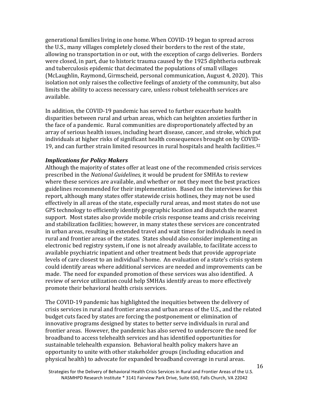generational families living in one home. When COVID-19 began to spread across the U.S., many villages completely closed their borders to the rest of the state, allowing no transportation in or out, with the exception of cargo deliveries. Borders were closed, in part, due to historic trauma caused by the 1925 diphtheria outbreak and tuberculosis epidemic that decimated the populations of small villages (McLaughlin, Raymond, Girmscheid, personal communication, August 4, 2020). This isolation not only raises the collective feelings of anxiety of the community, but also limits the ability to access necessary care, unless robust telehealth services are available.

In addition, the COVID-19 pandemic has served to further exacerbate health disparities between rural and urban areas, which can heighten anxieties further in the face of a pandemic. Rural communities are disproportionately affected by an array of serious health issues, including heart disease, cancer, and stroke, which put individuals at higher risks of significant health consequences brought on by COVID-19, and can further strain limited resources in rural hospitals and health facilities.<sup>32</sup>

#### *Implications for Policy Makers*

Although the majority of states offer at least one of the recommended crisis services prescribed in the *National Guidelines,* it would be prudent for SMHAs to review where these services are available, and whether or not they meet the best practices guidelines recommended for their implementation. Based on the interviews for this report, although many states offer statewide crisis hotlines, they may not be used effectively in all areas of the state, especially rural areas, and most states do not use GPS technology to efficiently identify geographic location and dispatch the nearest support. Most states also provide mobile crisis response teams and crisis receiving and stabilization facilities; however, in many states these services are concentrated in urban areas, resulting in extended travel and wait times for individuals in need in rural and frontier areas of the states. States should also consider implementing an electronic bed registry system, if one is not already available, to facilitate access to available psychiatric inpatient and other treatment beds that provide appropriate levels of care closest to an individual's home. An evaluation of a state's crisis system could identify areas where additional services are needed and improvements can be made. The need for expanded promotion of these services was also identified. A review of service utilization could help SMHAs identify areas to more effectively promote their behavioral health crisis services.

The COVID-19 pandemic has highlighted the inequities between the delivery of crisis services in rural and frontier areas and urban areas of the U.S., and the related budget cuts faced by states are forcing the postponement or elimination of innovative programs designed by states to better serve individuals in rural and frontier areas. However, the pandemic has also served to underscore the need for broadband to access telehealth services and has identified opportunities for sustainable telehealth expansion. Behavioral health policy makers have an opportunity to unite with other stakeholder groups (including education and physical health) to advocate for expanded broadband coverage in rural areas.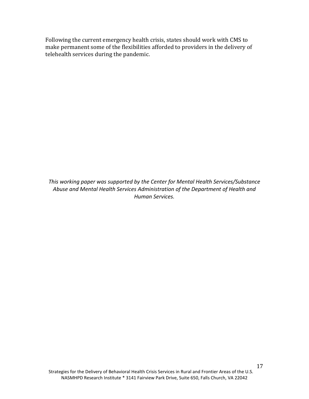Following the current emergency health crisis, states should work with CMS to make permanent some of the flexibilities afforded to providers in the delivery of telehealth services during the pandemic.

*This working paper was supported by the Center for Mental Health Services/Substance Abuse and Mental Health Services Administration of the Department of Health and Human Services.*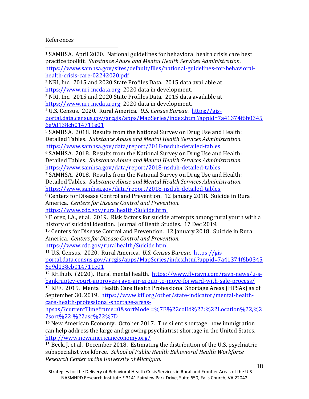#### References

<span id="page-17-0"></span><sup>1</sup> SAMHSA. April 2020. National guidelines for behavioral health crisis care best practice toolkit. *Substance Abuse and Mental Health Services Administration.* [https://www.samhsa.gov/sites/default/files/national-guidelines-for-behavioral](https://www.samhsa.gov/sites/default/files/national-guidelines-for-behavioral-health-crisis-care-02242020.pdf)[health-crisis-care-02242020.pdf](https://www.samhsa.gov/sites/default/files/national-guidelines-for-behavioral-health-crisis-care-02242020.pdf) I

<span id="page-17-1"></span><sup>2</sup> NRI, Inc. 2015 and 2020 State Profiles Data. 2015 data available at [https://www.nri-incdata.org;](https://www.nri-incdata.org/) 2020 data in development.

<span id="page-17-2"></span><sup>3</sup> NRI, Inc. 2015 and 2020 State Profiles Data. 2015 data available at [https://www.nri-incdata.org;](https://www.nri-incdata.org/) 2020 data in development.

<span id="page-17-3"></span><sup>4</sup> U.S. Census. 2020. Rural America. *U.S. Census Bureau.* [https://gis](https://gis-portal.data.census.gov/arcgis/apps/MapSeries/index.html?appid=7a41374f6b03456e9d138cb014711e01)[portal.data.census.gov/arcgis/apps/MapSeries/index.html?appid=7a41374f6b0345](https://gis-portal.data.census.gov/arcgis/apps/MapSeries/index.html?appid=7a41374f6b03456e9d138cb014711e01) [6e9d138cb014711e01](https://gis-portal.data.census.gov/arcgis/apps/MapSeries/index.html?appid=7a41374f6b03456e9d138cb014711e01)

<span id="page-17-4"></span><sup>5</sup> SAMHSA. 2018. Results from the National Survey on Drug Use and Health: Detailed Tables. *Substance Abuse and Mental Health Services Administration.* <https://www.samhsa.gov/data/report/2018-nsduh-detailed-tables>

<span id="page-17-5"></span><sup>6</sup> SAMHSA. 2018. Results from the National Survey on Drug Use and Health: Detailed Tables. *Substance Abuse and Mental Health Services Administration.* <https://www.samhsa.gov/data/report/2018-nsduh-detailed-tables>

<span id="page-17-6"></span><sup>7</sup> SAMHSA. 2018. Results from the National Survey on Drug Use and Health: Detailed Tables. *Substance Abuse and Mental Health Services Administration.* <https://www.samhsa.gov/data/report/2018-nsduh-detailed-tables>

<span id="page-17-7"></span><sup>8</sup> Centers for Disease Control and Prevention. 12 January 2018. Suicide in Rural America. *Centers for Disease Control and Prevention.* <https://www.cdc.gov/ruralhealth/Suicide.html>

<span id="page-17-8"></span><sup>9</sup> Florez, I.A., et al. 2019. Risk factors for suicide attempts among rural youth with a history of suicidal ideation. Journal of Death Studies. 17 Dec 2019.

<span id="page-17-9"></span><sup>10</sup> Centers for Disease Control and Prevention. 12 January 2018. Suicide in Rural America. *Centers for Disease Control and Prevention.*

<https://www.cdc.gov/ruralhealth/Suicide.html>

<span id="page-17-10"></span><sup>11</sup> U.S. Census. 2020. Rural America. *U.S. Census Bureau.* [https://gis](https://gis-portal.data.census.gov/arcgis/apps/MapSeries/index.html?appid=7a41374f6b03456e9d138cb014711e01)[portal.data.census.gov/arcgis/apps/MapSeries/index.html?appid=7a41374f6b0345](https://gis-portal.data.census.gov/arcgis/apps/MapSeries/index.html?appid=7a41374f6b03456e9d138cb014711e01) [6e9d138cb014711e01](https://gis-portal.data.census.gov/arcgis/apps/MapSeries/index.html?appid=7a41374f6b03456e9d138cb014711e01)

<span id="page-17-12"></span><span id="page-17-11"></span><sup>12</sup> RHIhub. (2020). Rural mental health. [https://www.flyravn.com/ravn-news/u-s](https://www.flyravn.com/ravn-news/u-s-bankruptcy-court-approves-ravn-air-group-to-move-forward-with-sale-process/)[bankruptcy-court-approves-ravn-air-group-to-move-forward-with-sale-process/](https://www.flyravn.com/ravn-news/u-s-bankruptcy-court-approves-ravn-air-group-to-move-forward-with-sale-process/) <sup>13</sup> KFF. 2019. Mental Health Care Health Professional Shortage Areas (HPSAs) as of September 30, 2019. [https://www.kff.org/other/state-indicator/mental-health](https://www.kff.org/other/state-indicator/mental-health-care-health-professional-shortage-areas-hpsas/?currentTimeframe=0&sortModel=%7B%22colId%22:%22Location%22,%22sort%22:%22asc%22%7D)[care-health-professional-shortage-areas-](https://www.kff.org/other/state-indicator/mental-health-care-health-professional-shortage-areas-hpsas/?currentTimeframe=0&sortModel=%7B%22colId%22:%22Location%22,%22sort%22:%22asc%22%7D)

[hpsas/?currentTimeframe=0&sortModel=%7B%22colId%22:%22Location%22,%2](https://www.kff.org/other/state-indicator/mental-health-care-health-professional-shortage-areas-hpsas/?currentTimeframe=0&sortModel=%7B%22colId%22:%22Location%22,%22sort%22:%22asc%22%7D) [2sort%22:%22asc%22%7D](https://www.kff.org/other/state-indicator/mental-health-care-health-professional-shortage-areas-hpsas/?currentTimeframe=0&sortModel=%7B%22colId%22:%22Location%22,%22sort%22:%22asc%22%7D)

<span id="page-17-13"></span><sup>14</sup> New American Economy. October 2017. The silent shortage: how immigration can help address the large and growing psychiatrist shortage in the United States. <http://www.newamericaneconomy.org/>

<span id="page-17-14"></span><sup>15</sup> Beck, J. et al. December 2018. Estimating the distribution of the U.S. psychiatric subspecialist workforce. *School of Public Health Behavioral Health Workforce Research Center at the University of Michigan.*

Strategies for the Delivery of Behavioral Health Crisis Services in Rural and Frontier Areas of the U.S. NASMHPD Research Institute \* 3141 Fairview Park Drive, Suite 650, Falls Church, VA 22042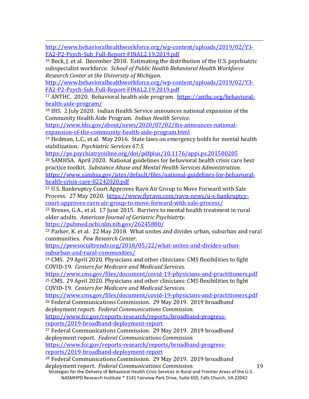i<br>I [http://www.behavioralhealthworkforce.org/wp-content/uploads/2019/02/Y3-](http://www.behavioralhealthworkforce.org/wp-content/uploads/2019/02/Y3-FA2-P2-Psych-Sub_Full-Report-FINAL2.19.2019.pdf) [FA2-P2-Psych-Sub\\_Full-Report-FINAL2.19.2019.pdf](http://www.behavioralhealthworkforce.org/wp-content/uploads/2019/02/Y3-FA2-P2-Psych-Sub_Full-Report-FINAL2.19.2019.pdf)

<span id="page-18-0"></span><sup>16</sup> Beck, J. et al. December 2018. Estimating the distribution of the U.S. psychiatric subspecialist workforce. *School of Public Health Behavioral Health Workforce Research Center at the University of Michigan.*

[http://www.behavioralhealthworkforce.org/wp-content/uploads/2019/02/Y3-](http://www.behavioralhealthworkforce.org/wp-content/uploads/2019/02/Y3-FA2-P2-Psych-Sub_Full-Report-FINAL2.19.2019.pdf) [FA2-P2-Psych-Sub\\_Full-Report-FINAL2.19.2019.pdf](http://www.behavioralhealthworkforce.org/wp-content/uploads/2019/02/Y3-FA2-P2-Psych-Sub_Full-Report-FINAL2.19.2019.pdf)

<span id="page-18-1"></span><sup>17</sup> ANTHC. 2020. Behavioral health aide program. [https://anthc.org/behavioral](https://anthc.org/behavioral-health-aide-program/)[health-aide-program/](https://anthc.org/behavioral-health-aide-program/)

<span id="page-18-2"></span><sup>18</sup> IHS. 2 July 2020. Indian Health Service announces national expansion of the Community Health Aide Program. *Indian Health Service.*

[https://www.hhs.gov/about/news/2020/07/02/ihs-announces-national](https://www.hhs.gov/about/news/2020/07/02/ihs-announces-national-expansion-of-the-community-health-aide-program.html)[expansion-of-the-community-health-aide-program.html](https://www.hhs.gov/about/news/2020/07/02/ihs-announces-national-expansion-of-the-community-health-aide-program.html)

<span id="page-18-3"></span><sup>19</sup> Hedman, L.C., et al. May 2016. State laws on emergency holds for mental health stabilization. *Psychiatric Services 67:5.*

<https://ps.psychiatryonline.org/doi/pdfplus/10.1176/appi.ps.201500205>

<span id="page-18-4"></span><sup>20</sup> SAMHSA. April 2020. National guidelines for behavioral health crisis care best practice toolkit. *Substance Abuse and Mental Health Services Administration.* [https://www.samhsa.gov/sites/default/files/national-guidelines-for-behavioral](https://www.samhsa.gov/sites/default/files/national-guidelines-for-behavioral-health-crisis-care-02242020.pdf)[health-crisis-care-02242020.pdf](https://www.samhsa.gov/sites/default/files/national-guidelines-for-behavioral-health-crisis-care-02242020.pdf)

<span id="page-18-5"></span><sup>21</sup> U.S. Bankruptcy Court Approves Ravn Air Group to Move Forward with Sale Process. 27 May 2020. [https://www.flyravn.com/ravn-news/u-s-bankruptcy](https://www.flyravn.com/ravn-news/u-s-bankruptcy-court-approves-ravn-air-group-to-move-forward-with-sale-process/)[court-approves-ravn-air-group-to-move-forward-with-sale-process/](https://www.flyravn.com/ravn-news/u-s-bankruptcy-court-approves-ravn-air-group-to-move-forward-with-sale-process/)

<span id="page-18-6"></span><sup>22</sup> Brenes, G.A., et al. 17 June 2015. Barriers to mental health treatment in rural older adults. *American Journal of Geriatric Psychiatrty.*

<https://pubmed.ncbi.nlm.nih.gov/26245880/>

<span id="page-18-7"></span><sup>23</sup> Parker, K. et al. 22 May 2018. What unites and divides urban, suburban and rural communities. *Pew Research Center.*

[https://pewsocialtrends.org/2018/05/22/what-unites-and-divides-urban](https://pewsocialtrends.org/2018/05/22/what-unites-and-divides-urban-suburban-and-rural-communities/)[suburban-and-rural-communities/](https://pewsocialtrends.org/2018/05/22/what-unites-and-divides-urban-suburban-and-rural-communities/)

<span id="page-18-8"></span><sup>24</sup> CMS. 29 April 2020. Physicians and other clinicians: CMS flexibilities to fight COVID-19. *Centers for Medicare and Medicaid Services.*

<https://www.cms.gov/files/document/covid-19-physicians-and-practitioners.pdf> <sup>25</sup> CMS. 29 April 2020. Physicians and other clinicians: CMS flexibilities to fight

<span id="page-18-9"></span>COVID-19. *Centers for Medicare and Medicaid Services.*

<https://www.cms.gov/files/document/covid-19-physicians-and-practitioners.pdf>

<span id="page-18-10"></span><sup>26</sup> Federal Communications Commission. 29 May 2019. 2019 broadband deployment report. *Federal Communications Commission.*

[https://www.fcc.gov/reports-research/reports/broadband-progress](https://www.fcc.gov/reports-research/reports/broadband-progress-reports/2019-broadband-deployment-report)[reports/2019-broadband-deployment-report](https://www.fcc.gov/reports-research/reports/broadband-progress-reports/2019-broadband-deployment-report)

<span id="page-18-11"></span><sup>27</sup> Federal Communications Commission. 29 May 2019. 2019 broadband deployment report. *Federal Communications Commission.*

[https://www.fcc.gov/reports-research/reports/broadband-progress](https://www.fcc.gov/reports-research/reports/broadband-progress-reports/2019-broadband-deployment-report)[reports/2019-broadband-deployment-report](https://www.fcc.gov/reports-research/reports/broadband-progress-reports/2019-broadband-deployment-report)

<span id="page-18-12"></span><sup>28</sup> Federal Communications Commission. 29 May 2019. 2019 broadband deployment report. *Federal Communications Commission.*

Strategies for the Delivery of Behavioral Health Crisis Services in Rural and Frontier Areas of the U.S. NASMHPD Research Institute \* 3141 Fairview Park Drive, Suite 650, Falls Church, VA 22042